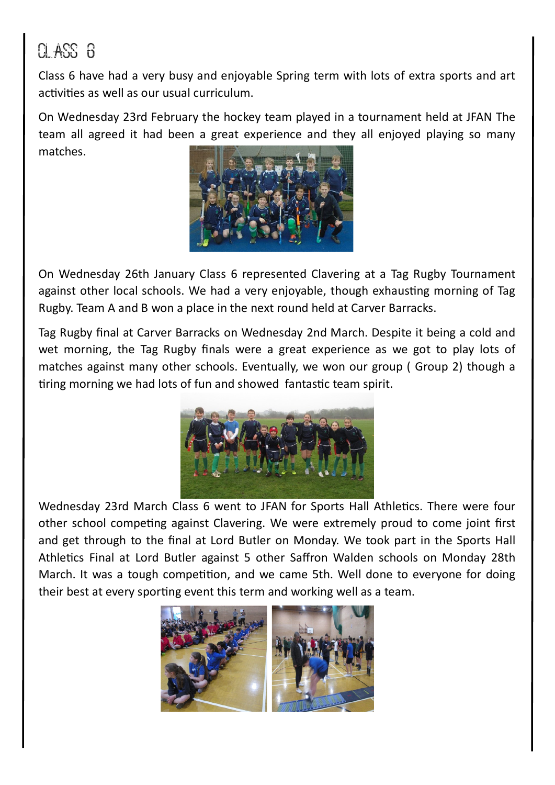## $0.4$ SS  $6$

Class 6 have had a very busy and enjoyable Spring term with lots of extra sports and art activities as well as our usual curriculum.

On Wednesday 23rd February the hockey team played in a tournament held at JFAN The team all agreed it had been a great experience and they all enjoyed playing so many matches.



On Wednesday 26th January Class 6 represented Clavering at a Tag Rugby Tournament against other local schools. We had a very enjoyable, though exhausting morning of Tag Rugby. Team A and B won a place in the next round held at Carver Barracks.

Tag Rugby final at Carver Barracks on Wednesday 2nd March. Despite it being a cold and wet morning, the Tag Rugby finals were a great experience as we got to play lots of matches against many other schools. Eventually, we won our group ( Group 2) though a tiring morning we had lots of fun and showed fantastic team spirit.



Wednesday 23rd March Class 6 went to JFAN for Sports Hall Athletics. There were four other school competing against Clavering. We were extremely proud to come joint first and get through to the final at Lord Butler on Monday. We took part in the Sports Hall Athletics Final at Lord Butler against 5 other Saffron Walden schools on Monday 28th March. It was a tough competition, and we came 5th. Well done to everyone for doing their best at every sporting event this term and working well as a team.